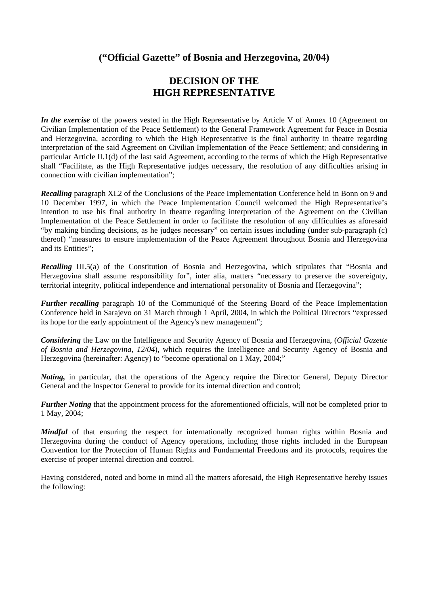## **("Official Gazette" of Bosnia and Herzegovina, 20/04)**

# **DECISION OF THE HIGH REPRESENTATIVE**

*In the exercise* of the powers vested in the High Representative by Article V of Annex 10 (Agreement on Civilian Implementation of the Peace Settlement) to the General Framework Agreement for Peace in Bosnia and Herzegovina, according to which the High Representative is the final authority in theatre regarding interpretation of the said Agreement on Civilian Implementation of the Peace Settlement; and considering in particular Article II.1(d) of the last said Agreement, according to the terms of which the High Representative shall "Facilitate, as the High Representative judges necessary, the resolution of any difficulties arising in connection with civilian implementation";

*Recalling* paragraph XI.2 of the Conclusions of the Peace Implementation Conference held in Bonn on 9 and 10 December 1997, in which the Peace Implementation Council welcomed the High Representative's intention to use his final authority in theatre regarding interpretation of the Agreement on the Civilian Implementation of the Peace Settlement in order to facilitate the resolution of any difficulties as aforesaid "by making binding decisions, as he judges necessary" on certain issues including (under sub-paragraph (c) thereof) "measures to ensure implementation of the Peace Agreement throughout Bosnia and Herzegovina and its Entities";

*Recalling III.5(a)* of the Constitution of Bosnia and Herzegovina, which stipulates that "Bosnia and Herzegovina shall assume responsibility for", inter alia, matters "necessary to preserve the sovereignty, territorial integrity, political independence and international personality of Bosnia and Herzegovina";

*Further recalling* paragraph 10 of the Communiqué of the Steering Board of the Peace Implementation Conference held in Sarajevo on 31 March through 1 April, 2004, in which the Political Directors "expressed its hope for the early appointment of the Agency's new management";

*Considering* the Law on the Intelligence and Security Agency of Bosnia and Herzegovina, (*Official Gazette of Bosnia and Herzegovina, 12/04*), which requires the Intelligence and Security Agency of Bosnia and Herzegovina (hereinafter: Agency) to "become operational on 1 May, 2004;"

*Noting,* in particular, that the operations of the Agency require the Director General, Deputy Director General and the Inspector General to provide for its internal direction and control;

*Further Noting* that the appointment process for the aforementioned officials, will not be completed prior to 1 May, 2004;

*Mindful* of that ensuring the respect for internationally recognized human rights within Bosnia and Herzegovina during the conduct of Agency operations, including those rights included in the European Convention for the Protection of Human Rights and Fundamental Freedoms and its protocols, requires the exercise of proper internal direction and control.

Having considered, noted and borne in mind all the matters aforesaid, the High Representative hereby issues the following: